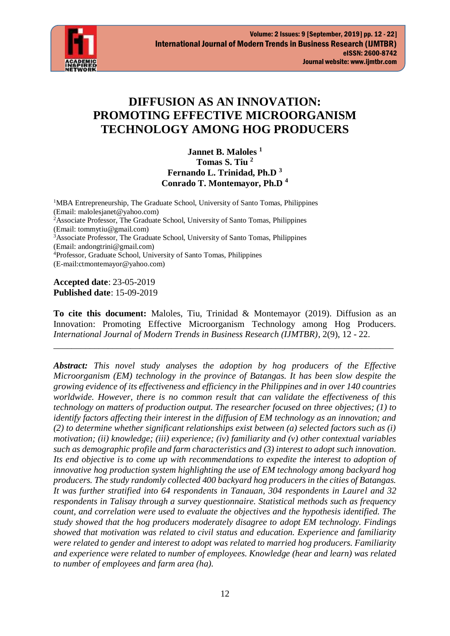

# **DIFFUSION AS AN INNOVATION: PROMOTING EFFECTIVE MICROORGANISM TECHNOLOGY AMONG HOG PRODUCERS**

**Jannet B. Maloles <sup>1</sup> Tomas S. Tiu <sup>2</sup> Fernando L. Trinidad, Ph.D <sup>3</sup> Conrado T. Montemayor, Ph.D <sup>4</sup>**

<sup>1</sup>MBA Entrepreneurship, The Graduate School, University of Santo Tomas, Philippines (Email: malolesjanet@yahoo.com) <sup>2</sup>Associate Professor, The Graduate School, University of Santo Tomas, Philippines (Email: tommytiu@gmail.com) <sup>3</sup>Associate Professor, The Graduate School, University of Santo Tomas, Philippines (Email: andongtrini@gmail.com) <sup>4</sup>Professor, Graduate School, University of Santo Tomas, Philippines (E-mail:ctmontemayor@yahoo.com)

**Accepted date**: 23-05-2019 **Published date**: 15-09-2019

**To cite this document:** Maloles, Tiu, Trinidad & Montemayor (2019). Diffusion as an Innovation: Promoting Effective Microorganism Technology among Hog Producers. *International Journal of Modern Trends in Business Research (IJMTBR)*, 2(9), 12 - 22.

\_\_\_\_\_\_\_\_\_\_\_\_\_\_\_\_\_\_\_\_\_\_\_\_\_\_\_\_\_\_\_\_\_\_\_\_\_\_\_\_\_\_\_\_\_\_\_\_\_\_\_\_\_\_\_\_\_\_\_\_\_\_\_\_\_\_\_\_\_\_\_\_\_\_\_

*Abstract: This novel study analyses the adoption by hog producers of the Effective Microorganism (EM) technology in the province of Batangas. It has been slow despite the growing evidence of its effectiveness and efficiency in the Philippines and in over 140 countries worldwide. However, there is no common result that can validate the effectiveness of this technology on matters of production output. The researcher focused on three objectives; (1) to identify factors affecting their interest in the diffusion of EM technology as an innovation; and (2) to determine whether significant relationships exist between (a) selected factors such as (i) motivation; (ii) knowledge; (iii) experience; (iv) familiarity and (v) other contextual variables such as demographic profile and farm characteristics and (3) interest to adopt such innovation. Its end objective is to come up with recommendations to expedite the interest to adoption of innovative hog production system highlighting the use of EM technology among backyard hog producers. The study randomly collected 400 backyard hog producers in the cities of Batangas. It was further stratified into 64 respondents in Tanauan, 304 respondents in Laurel and 32 respondents in Talisay through a survey questionnaire. Statistical methods such as frequency count, and correlation were used to evaluate the objectives and the hypothesis identified. The study showed that the hog producers moderately disagree to adopt EM technology. Findings showed that motivation was related to civil status and education. Experience and familiarity were related to gender and interest to adopt was related to married hog producers. Familiarity and experience were related to number of employees. Knowledge (hear and learn) was related to number of employees and farm area (ha).*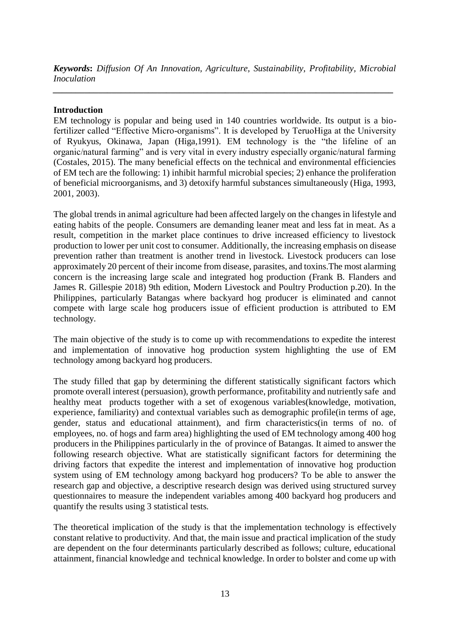*Keywords***:** *Diffusion Of An Innovation, Agriculture, Sustainability, Profitability, Microbial Inoculation*

*\_\_\_\_\_\_\_\_\_\_\_\_\_\_\_\_\_\_\_\_\_\_\_\_\_\_\_\_\_\_\_\_\_\_\_\_\_\_\_\_\_\_\_\_\_\_\_\_\_\_\_\_\_\_\_\_\_\_\_\_\_\_\_\_\_\_\_\_\_\_\_\_\_\_\_*

# **Introduction**

EM technology is popular and being used in 140 countries worldwide. Its output is a biofertilizer called "Effective Micro-organisms". It is developed by TeruoHiga at the University of Ryukyus, Okinawa, Japan (Higa,1991). EM technology is the "the lifeline of an organic/natural farming" and is very vital in every industry especially organic/natural farming (Costales, 2015). The many beneficial effects on the technical and environmental efficiencies of EM tech are the following: 1) inhibit harmful microbial species; 2) enhance the proliferation of beneficial microorganisms, and 3) detoxify harmful substances simultaneously (Higa, 1993, 2001, 2003).

The global trends in animal agriculture had been affected largely on the changes in lifestyle and eating habits of the people. Consumers are demanding leaner meat and less fat in meat. As a result, competition in the market place continues to drive increased efficiency to livestock production to lower per unit cost to consumer. Additionally, the increasing emphasis on disease prevention rather than treatment is another trend in livestock. Livestock producers can lose approximately 20 percent of their income from disease, parasites, and toxins.The most alarming concern is the increasing large scale and integrated hog production (Frank B. Flanders and James R. Gillespie 2018) 9th edition, Modern Livestock and Poultry Production p.20). In the Philippines, particularly Batangas where backyard hog producer is eliminated and cannot compete with large scale hog producers issue of efficient production is attributed to EM technology.

The main objective of the study is to come up with recommendations to expedite the interest and implementation of innovative hog production system highlighting the use of EM technology among backyard hog producers.

The study filled that gap by determining the different statistically significant factors which promote overall interest (persuasion), growth performance, profitability and nutriently safe and healthy meat products together with a set of exogenous variables(knowledge, motivation, experience, familiarity) and contextual variables such as demographic profile(in terms of age, gender, status and educational attainment), and firm characteristics(in terms of no. of employees, no. of hogs and farm area) highlighting the used of EM technology among 400 hog producers in the Philippines particularly in the of province of Batangas. It aimed to answer the following research objective. What are statistically significant factors for determining the driving factors that expedite the interest and implementation of innovative hog production system using of EM technology among backyard hog producers? To be able to answer the research gap and objective, a descriptive research design was derived using structured survey questionnaires to measure the independent variables among 400 backyard hog producers and quantify the results using 3 statistical tests.

The theoretical implication of the study is that the implementation technology is effectively constant relative to productivity. And that, the main issue and practical implication of the study are dependent on the four determinants particularly described as follows; culture, educational attainment, financial knowledge and technical knowledge. In order to bolster and come up with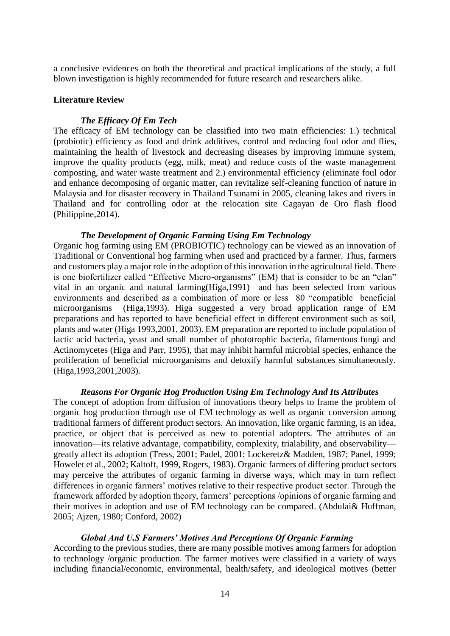a conclusive evidences on both the theoretical and practical implications of the study, a full blown investigation is highly recommended for future research and researchers alike.

## **Literature Review**

## *The Efficacy Of Em Tech*

The efficacy of EM technology can be classified into two main efficiencies: 1.) technical (probiotic) efficiency as food and drink additives, control and reducing foul odor and flies, maintaining the health of livestock and decreasing diseases by improving immune system, improve the quality products (egg, milk, meat) and reduce costs of the waste management composting, and water waste treatment and 2.) environmental efficiency (eliminate foul odor and enhance decomposing of organic matter, can revitalize self-cleaning function of nature in Malaysia and for disaster recovery in Thailand Tsunami in 2005, cleaning lakes and rivers in Thailand and for controlling odor at the relocation site Cagayan de Oro flash flood (Philippine,2014).

# *The Development of Organic Farming Using Em Technology*

Organic hog farming using EM (PROBIOTIC) technology can be viewed as an innovation of Traditional or Conventional hog farming when used and practiced by a farmer. Thus, farmers and customers play a major role in the adoption of this innovation in the agricultural field. There is one biofertilizer called "Effective Micro-organisms" (EM) that is consider to be an "elan" vital in an organic and natural farming(Higa,1991) and has been selected from various environments and described as a combination of more or less 80 "compatible beneficial microorganisms (Higa,1993). Higa suggested a very broad application range of EM preparations and has reported to have beneficial effect in different environment such as soil, plants and water (Higa 1993,2001, 2003). EM preparation are reported to include population of lactic acid bacteria, yeast and small number of phototrophic bacteria, filamentous fungi and Actinomycetes (Higa and Parr, 1995), that may inhibit harmful microbial species, enhance the proliferation of beneficial microorganisms and detoxify harmful substances simultaneously. (Higa,1993,2001,2003).

## *Reasons For Organic Hog Production Using Em Technology And Its Attributes*

The concept of adoption from diffusion of innovations theory helps to frame the problem of organic hog production through use of EM technology as well as organic conversion among traditional farmers of different product sectors. An innovation, like organic farming, is an idea, practice, or object that is perceived as new to potential adopters. The attributes of an innovation—its relative advantage, compatibility, complexity, trialability, and observability greatly affect its adoption (Tress, 2001; Padel, 2001; Lockeretz& Madden, 1987; Panel, 1999; Howelet et al., 2002; Kaltoft, 1999, Rogers, 1983). Organic farmers of differing product sectors may perceive the attributes of organic farming in diverse ways, which may in turn reflect differences in organic farmers' motives relative to their respective product sector. Through the framework afforded by adoption theory, farmers' perceptions /opinions of organic farming and their motives in adoption and use of EM technology can be compared. (Abdulai& Huffman, 2005; Ajzen, 1980; Conford, 2002)

## *Global And U.S Farmers' Motives And Perceptions Of Organic Farming*

According to the previous studies, there are many possible motives among farmers for adoption to technology /organic production. The farmer motives were classified in a variety of ways including financial/economic, environmental, health/safety, and ideological motives (better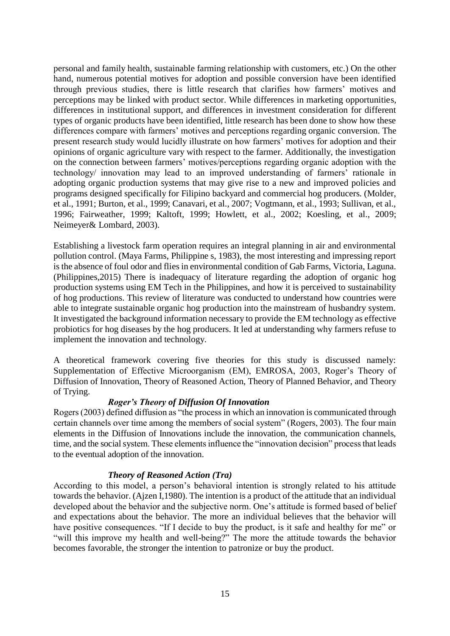personal and family health, sustainable farming relationship with customers, etc.) On the other hand, numerous potential motives for adoption and possible conversion have been identified through previous studies, there is little research that clarifies how farmers' motives and perceptions may be linked with product sector. While differences in marketing opportunities, differences in institutional support, and differences in investment consideration for different types of organic products have been identified, little research has been done to show how these differences compare with farmers' motives and perceptions regarding organic conversion. The present research study would lucidly illustrate on how farmers' motives for adoption and their opinions of organic agriculture vary with respect to the farmer. Additionally, the investigation on the connection between farmers' motives/perceptions regarding organic adoption with the technology/ innovation may lead to an improved understanding of farmers' rationale in adopting organic production systems that may give rise to a new and improved policies and programs designed specifically for Filipino backyard and commercial hog producers. (Molder, et al., 1991; Burton, et al., 1999; Canavari, et al., 2007; Vogtmann, et al., 1993; Sullivan, et al., 1996; Fairweather, 1999; Kaltoft, 1999; Howlett, et al., 2002; Koesling, et al., 2009; Neimeyer& Lombard, 2003).

Establishing a livestock farm operation requires an integral planning in air and environmental pollution control. (Maya Farms, Philippine s, 1983), the most interesting and impressing report is the absence of foul odor and flies in environmental condition of Gab Farms, Victoria, Laguna. (Philippines,2015) There is inadequacy of literature regarding the adoption of organic hog production systems using EM Tech in the Philippines, and how it is perceived to sustainability of hog productions. This review of literature was conducted to understand how countries were able to integrate sustainable organic hog production into the mainstream of husbandry system. It investigated the background information necessary to provide the EM technology as effective probiotics for hog diseases by the hog producers. It led at understanding why farmers refuse to implement the innovation and technology.

A theoretical framework covering five theories for this study is discussed namely: Supplementation of Effective Microorganism (EM), EMROSA, 2003, Roger's Theory of Diffusion of Innovation, Theory of Reasoned Action, Theory of Planned Behavior, and Theory of Trying.

# *Roger's Theory of Diffusion Of Innovation*

Rogers (2003) defined diffusion as "the process in which an innovation is communicated through certain channels over time among the members of social system" (Rogers, 2003). The four main elements in the Diffusion of Innovations include the innovation, the communication channels, time, and the social system. These elements influence the "innovation decision" process that leads to the eventual adoption of the innovation.

## *Theory of Reasoned Action (Tra)*

According to this model, a person's behavioral intention is strongly related to his attitude towards the behavior. (Ajzen I,1980). The intention is a product of the attitude that an individual developed about the behavior and the subjective norm. One's attitude is formed based of belief and expectations about the behavior. The more an individual believes that the behavior will have positive consequences. "If I decide to buy the product, is it safe and healthy for me" or "will this improve my health and well-being?" The more the attitude towards the behavior becomes favorable, the stronger the intention to patronize or buy the product.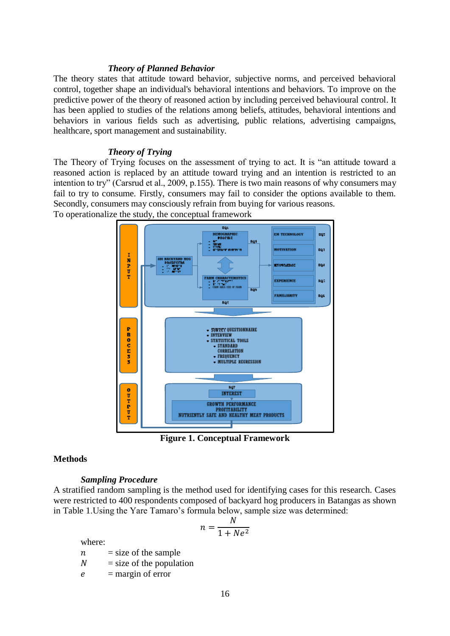## *Theory of Planned Behavior*

The theory states that attitude toward behavior, subjective norms, and perceived behavioral control, together shape an individual's behavioral intentions and behaviors. To improve on the predictive power of the theory of reasoned action by including perceived behavioural control. It has been applied to studies of the relations among beliefs, attitudes, behavioral intentions and behaviors in various fields such as advertising, public relations, advertising campaigns, healthcare, sport management and sustainability.

# *Theory of Trying*

The Theory of Trying focuses on the assessment of trying to act. It is "an attitude toward a reasoned action is replaced by an attitude toward trying and an intention is restricted to an intention to try" (Carsrud et al., 2009, p.155). There is two main reasons of why consumers may fail to try to consume. Firstly, consumers may fail to consider the options available to them. Secondly, consumers may consciously refrain from buying for various reasons. To operationalize the study, the conceptual framework



**Figure 1. Conceptual Framework**

# **Methods**

## *Sampling Procedure*

A stratified random sampling is the method used for identifying cases for this research. Cases were restricted to 400 respondents composed of backyard hog producers in Batangas as shown in [Table 1.](#page-5-0)Using the Yare Tamaro's formula below, sample size was determined:

$$
n = \frac{N}{1 + Ne^2}
$$

where:

 $n = size of the sample$ 

 $N =$  size of the population

 $e$  = margin of error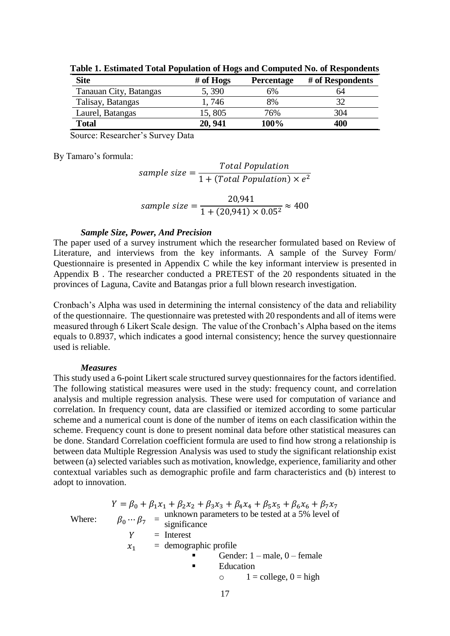| <b>Site</b>            | # of $Hogs$ | <b>Percentage</b> | # of Respondents |
|------------------------|-------------|-------------------|------------------|
| Tanauan City, Batangas | 5,390       | 6%                | 64               |
| Talisay, Batangas      | 1,746       | 8%                |                  |
| Laurel, Batangas       | 15,805      | 76%               | 304              |
| <b>Total</b>           | 20, 941     | 100%              | 400              |

<span id="page-5-0"></span>**Table 1. Estimated Total Population of Hogs and Computed No. of Respondents**

Source: Researcher's Survey Data

By Tamaro's formula:

$$
sample size = \frac{Total Population}{1 + (Total Population) \times e^2}
$$

$$
sample size = \frac{20,941}{1 + (20,941) \times 0.05^2} \approx 400
$$

#### *Sample Size, Power, And Precision*

The paper used of a survey instrument which the researcher formulated based on Review of Literature, and interviews from the key informants. A sample of the Survey Form/ Questionnaire is presented in Appendix C while the key informant interview is presented in Appendix B . The researcher conducted a PRETEST of the 20 respondents situated in the provinces of Laguna, Cavite and Batangas prior a full blown research investigation.

Cronbach's Alpha was used in determining the internal consistency of the data and reliability of the questionnaire. The questionnaire was pretested with 20 respondents and all of items were measured through 6 Likert Scale design. The value of the Cronbach's Alpha based on the items equals to 0.8937, which indicates a good internal consistency; hence the survey questionnaire used is reliable.

#### *Measures*

This study used a 6-point Likert scale structured survey questionnaires for the factors identified. The following statistical measures were used in the study: frequency count, and correlation analysis and multiple regression analysis. These were used for computation of variance and correlation. In frequency count, data are classified or itemized according to some particular scheme and a numerical count is done of the number of items on each classification within the scheme. Frequency count is done to present nominal data before other statistical measures can be done. Standard Correlation coefficient formula are used to find how strong a relationship is between data Multiple Regression Analysis was used to study the significant relationship exist between (a) selected variables such as motivation, knowledge, experience, familiarity and other contextual variables such as demographic profile and farm characteristics and (b) interest to adopt to innovation.

$$
Y = \beta_0 + \beta_1 x_1 + \beta_2 x_2 + \beta_3 x_3 + \beta_4 x_4 + \beta_5 x_5 + \beta_6 x_6 + \beta_7 x_7
$$
  
Where:  

$$
\beta_0 \cdots \beta_7 = \text{unknown parameters to be tested at a 5% level of}
$$

$$
Y = \text{Interest}
$$

$$
x_1 = \text{demographic profile}
$$
  
Gender: 1 - male, 0 - female  
Education  

$$
0 = 1 = \text{ college, 0 = high}
$$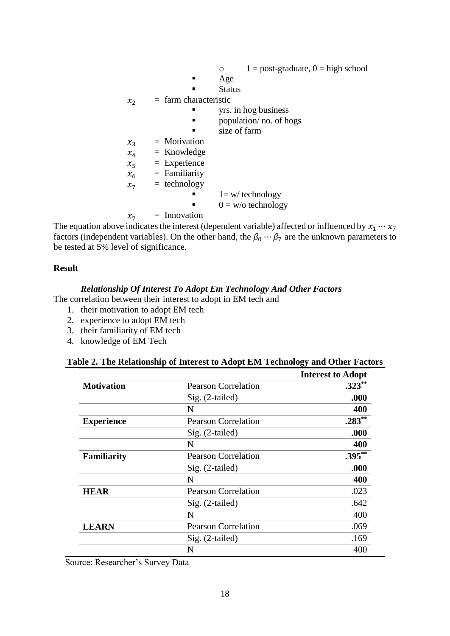$\circ$  1 = post-graduate, 0 = high school Age **Status**  $x_2$  = farm characteristic yrs. in hog business  $\blacksquare$  population/ no. of hogs size of farm  $x_3$  = Motivation  $x_4$  = Knowledge  $x_5$  = Experience  $x_6$  = Familiarity  $x_7$  = technology  $1 = w$  technology  $0 = w/\sigma$  technology  $x_7$  = Innovation

The equation above indicates the interest (dependent variable) affected or influenced by  $x_1 \cdots x_7$ factors (independent variables). On the other hand, the  $\beta_0 \cdots \beta_7$  are the unknown parameters to be tested at 5% level of significance.

## **Result**

#### *Relationship Of Interest To Adopt Em Technology And Other Factors*

The correlation between their interest to adopt in EM tech and

- 1. their motivation to adopt EM tech
- 2. experience to adopt EM tech
- 3. their familiarity of EM tech
- 4. knowledge of EM Tech

<span id="page-6-0"></span>

|                    |                            | <b>Interest to Adopt</b> |  |
|--------------------|----------------------------|--------------------------|--|
| <b>Motivation</b>  | <b>Pearson Correlation</b> | $.323**$                 |  |
|                    | Sig. (2-tailed)            | .000                     |  |
|                    | N                          | 400                      |  |
| <b>Experience</b>  | <b>Pearson Correlation</b> | $.283***$                |  |
|                    | Sig. (2-tailed)            | .000                     |  |
|                    | N                          | 400                      |  |
| <b>Familiarity</b> | <b>Pearson Correlation</b> | $.395***$                |  |
|                    | Sig. (2-tailed)            | .000                     |  |
|                    | N                          | 400                      |  |
| <b>HEAR</b>        | <b>Pearson Correlation</b> | .023                     |  |
|                    | Sig. (2-tailed)            | .642                     |  |
|                    | N                          | 400                      |  |
| <b>LEARN</b>       | <b>Pearson Correlation</b> | .069                     |  |
|                    | Sig. (2-tailed)            | .169                     |  |
|                    | N                          | 400                      |  |

Source: Researcher's Survey Data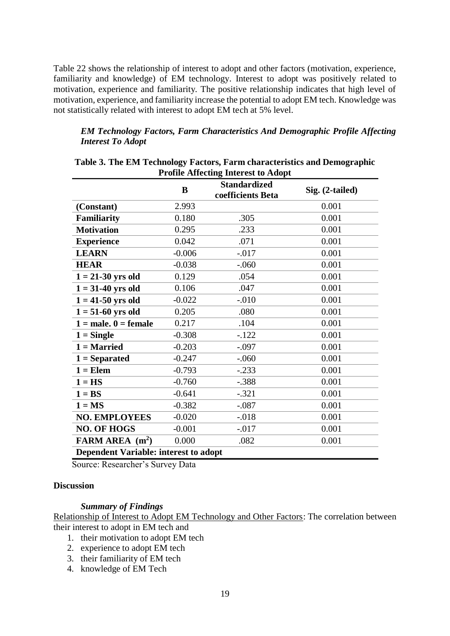[Table 22](#page-6-0) shows the relationship of interest to adopt and other factors (motivation, experience, familiarity and knowledge) of EM technology. Interest to adopt was positively related to motivation, experience and familiarity. The positive relationship indicates that high level of motivation, experience, and familiarity increase the potential to adopt EM tech. Knowledge was not statistically related with interest to adopt EM tech at 5% level.

# *EM Technology Factors, Farm Characteristics And Demographic Profile Affecting Interest To Adopt*

|                                              | B        | Trome Anceang micrest to Auopt<br><b>Standardized</b><br>coefficients Beta | Sig. (2-tailed) |
|----------------------------------------------|----------|----------------------------------------------------------------------------|-----------------|
| (Constant)                                   | 2.993    |                                                                            | 0.001           |
| <b>Familiarity</b>                           | 0.180    | .305                                                                       | 0.001           |
| <b>Motivation</b>                            | 0.295    | .233                                                                       | 0.001           |
| <b>Experience</b>                            | 0.042    | .071                                                                       | 0.001           |
| <b>LEARN</b>                                 | $-0.006$ | $-.017$                                                                    | 0.001           |
| <b>HEAR</b>                                  | $-0.038$ | $-.060$                                                                    | 0.001           |
| $1 = 21-30$ yrs old                          | 0.129    | .054                                                                       | 0.001           |
| $1 = 31-40$ yrs old                          | 0.106    | .047                                                                       | 0.001           |
| $1 = 41 - 50$ yrs old                        | $-0.022$ | $-.010$                                                                    | 0.001           |
| $1 = 51-60$ yrs old                          | 0.205    | .080                                                                       | 0.001           |
| $1 = male. 0 = female$                       | 0.217    | .104                                                                       | 0.001           |
| $1 =$ Single                                 | $-0.308$ | $-122$                                                                     | 0.001           |
| $1 =$ Married                                | $-0.203$ | $-.097$                                                                    | 0.001           |
| $1 =$ Separated                              | $-0.247$ | $-.060$                                                                    | 0.001           |
| $1 = Element$                                | $-0.793$ | $-.233$                                                                    | 0.001           |
| $1 = HS$                                     | $-0.760$ | $-.388$                                                                    | 0.001           |
| $1 = BS$                                     | $-0.641$ | $-.321$                                                                    | 0.001           |
| $1 = MS$                                     | $-0.382$ | $-.087$                                                                    | 0.001           |
| <b>NO. EMPLOYEES</b>                         | $-0.020$ | $-0.018$                                                                   | 0.001           |
| <b>NO. OF HOGS</b>                           | $-0.001$ | $-0.017$                                                                   | 0.001           |
| FARM AREA $(m^2)$                            | 0.000    | .082                                                                       | 0.001           |
| <b>Dependent Variable: interest to adopt</b> |          |                                                                            |                 |

<span id="page-7-0"></span>

| Table 3. The EM Technology Factors, Farm characteristics and Demographic |
|--------------------------------------------------------------------------|
| <b>Profile Affecting Interest to Adopt</b>                               |

Source: Researcher's Survey Data

# **Discussion**

## *Summary of Findings*

Relationship of Interest to Adopt EM Technology and Other Factors: The correlation between their interest to adopt in EM tech and

- 1. their motivation to adopt EM tech
- 2. experience to adopt EM tech
- 3. their familiarity of EM tech
- 4. knowledge of EM Tech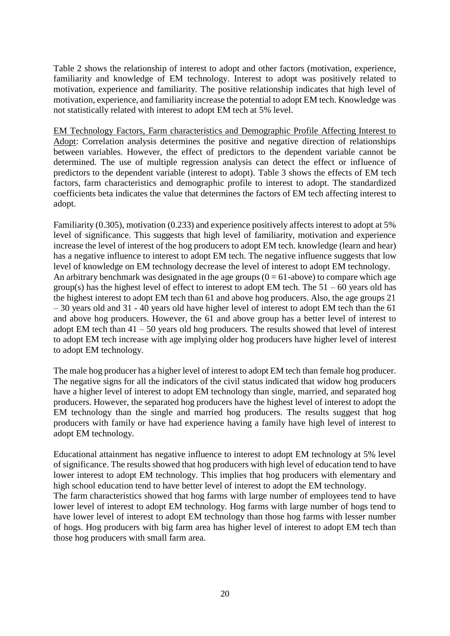[Table 2](#page-6-0) shows the relationship of interest to adopt and other factors (motivation, experience, familiarity and knowledge of EM technology. Interest to adopt was positively related to motivation, experience and familiarity. The positive relationship indicates that high level of motivation, experience, and familiarity increase the potential to adopt EM tech. Knowledge was not statistically related with interest to adopt EM tech at 5% level.

EM Technology Factors, Farm characteristics and Demographic Profile Affecting Interest to Adopt: Correlation analysis determines the positive and negative direction of relationships between variables. However, the effect of predictors to the dependent variable cannot be determined. The use of multiple regression analysis can detect the effect or influence of predictors to the dependent variable (interest to adopt). [Table 3](#page-7-0) shows the effects of EM tech factors, farm characteristics and demographic profile to interest to adopt. The standardized coefficients beta indicates the value that determines the factors of EM tech affecting interest to adopt.

Familiarity (0.305), motivation (0.233) and experience positively affects interest to adopt at 5% level of significance. This suggests that high level of familiarity, motivation and experience increase the level of interest of the hog producers to adopt EM tech. knowledge (learn and hear) has a negative influence to interest to adopt EM tech. The negative influence suggests that low level of knowledge on EM technology decrease the level of interest to adopt EM technology. An arbitrary benchmark was designated in the age groups  $(0 = 61$ -above) to compare which age group(s) has the highest level of effect to interest to adopt EM tech. The  $51 - 60$  years old has the highest interest to adopt EM tech than 61 and above hog producers. Also, the age groups 21 – 30 years old and 31 - 40 years old have higher level of interest to adopt EM tech than the 61 and above hog producers. However, the 61 and above group has a better level of interest to adopt EM tech than  $41 - 50$  years old hog producers. The results showed that level of interest to adopt EM tech increase with age implying older hog producers have higher level of interest to adopt EM technology.

The male hog producer has a higher level of interest to adopt EM tech than female hog producer. The negative signs for all the indicators of the civil status indicated that widow hog producers have a higher level of interest to adopt EM technology than single, married, and separated hog producers. However, the separated hog producers have the highest level of interest to adopt the EM technology than the single and married hog producers. The results suggest that hog producers with family or have had experience having a family have high level of interest to adopt EM technology.

Educational attainment has negative influence to interest to adopt EM technology at 5% level of significance. The results showed that hog producers with high level of education tend to have lower interest to adopt EM technology. This implies that hog producers with elementary and high school education tend to have better level of interest to adopt the EM technology.

The farm characteristics showed that hog farms with large number of employees tend to have lower level of interest to adopt EM technology. Hog farms with large number of hogs tend to have lower level of interest to adopt EM technology than those hog farms with lesser number of hogs. Hog producers with big farm area has higher level of interest to adopt EM tech than those hog producers with small farm area.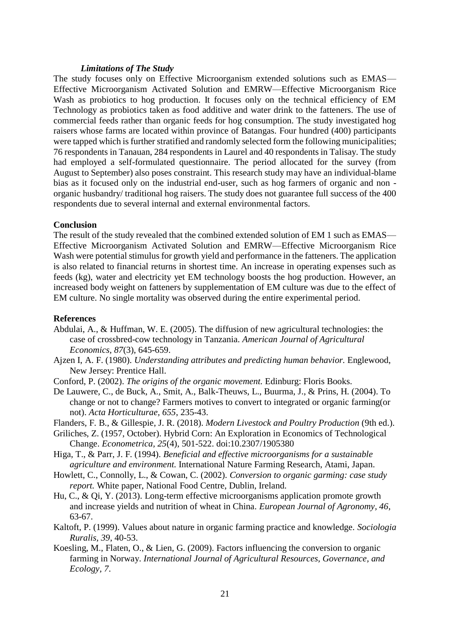#### *Limitations of The Study*

The study focuses only on Effective Microorganism extended solutions such as EMAS— Effective Microorganism Activated Solution and EMRW—Effective Microorganism Rice Wash as probiotics to hog production. It focuses only on the technical efficiency of EM Technology as probiotics taken as food additive and water drink to the fatteners. The use of commercial feeds rather than organic feeds for hog consumption. The study investigated hog raisers whose farms are located within province of Batangas. Four hundred (400) participants were tapped which is further stratified and randomly selected form the following municipalities; 76 respondents in Tanauan, 284 respondents in Laurel and 40 respondents in Talisay. The study had employed a self-formulated questionnaire. The period allocated for the survey (from August to September) also poses constraint. This research study may have an individual-blame bias as it focused only on the industrial end-user, such as hog farmers of organic and non organic husbandry/ traditional hog raisers. The study does not guarantee full success of the 400 respondents due to several internal and external environmental factors.

## **Conclusion**

The result of the study revealed that the combined extended solution of EM 1 such as EMAS— Effective Microorganism Activated Solution and EMRW—Effective Microorganism Rice Wash were potential stimulus for growth yield and performance in the fatteners. The application is also related to financial returns in shortest time. An increase in operating expenses such as feeds (kg), water and electricity yet EM technology boosts the hog production. However, an increased body weight on fatteners by supplementation of EM culture was due to the effect of EM culture. No single mortality was observed during the entire experimental period.

#### **References**

- Abdulai, A., & Huffman, W. E. (2005). The diffusion of new agricultural technologies: the case of crossbred-cow technology in Tanzania. *American Journal of Agricultural Economics, 87*(3), 645-659.
- Ajzen I, A. F. (1980). *Understanding attributes and predicting human behavior.* Englewood, New Jersey: Prentice Hall.
- Conford, P. (2002). *The origins of the organic movement.* Edinburg: Floris Books.
- De Lauwere, C., de Buck, A., Smit, A., Balk-Theuws, L., Buurma, J., & Prins, H. (2004). To change or not to change? Farmers motives to convert to integrated or organic farming(or not). *Acta Horticulturae, 655*, 235-43.
- Flanders, F. B., & Gillespie, J. R. (2018). *Modern Livestock and Poultry Production* (9th ed.).
- Griliches, Z. (1957, October). Hybrid Corn: An Exploration in Economics of Technological Change. *Econometrica, 25*(4), 501-522. doi:10.2307/1905380
- Higa, T., & Parr, J. F. (1994). *Beneficial and effective microorganisms for a sustainable agriculture and environment.* International Nature Farming Research, Atami, Japan.
- Howlett, C., Connolly, L., & Cowan, C. (2002). *Conversion to organic garming: case study report.* White paper, National Food Centre, Dublin, Ireland.
- Hu, C., & Qi, Y. (2013). Long-term effective microorganisms application promote growth and increase yields and nutrition of wheat in China. *European Journal of Agronomy, 46*, 63-67.
- Kaltoft, P. (1999). Values about nature in organic farming practice and knowledge. *Sociologia Ruralis, 39*, 40-53.
- Koesling, M., Flaten, O., & Lien, G. (2009). Factors influencing the conversion to organic farming in Norway. *International Journal of Agricultural Resources, Governance, and Ecology, 7*.